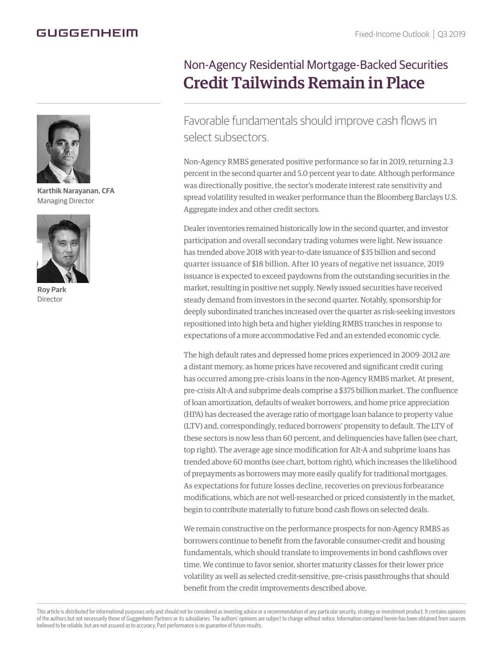## GUGGENHEIM



**Karthik Narayanan, CFA** Managing Director



**Roy Park** Director

## Non-Agency Residential Mortgage-Backed Securities Credit Tailwinds Remain in Place

Favorable fundamentals should improve cash flows in select subsectors.

Non-Agency RMBS generated positive performance so far in 2019, returning 2.3 percent in the second quarter and 5.0 percent year to date. Although performance was directionally positive, the sector's moderate interest rate sensitivity and spread volatility resulted in weaker performance than the Bloomberg Barclays U.S. Aggregate index and other credit sectors.

Dealer inventories remained historically low in the second quarter, and investor participation and overall secondary trading volumes were light. New issuance has trended above 2018 with year-to-date issuance of \$35 billion and second quarter issuance of \$18 billion. After 10 years of negative net issuance, 2019 issuance is expected to exceed paydowns from the outstanding securities in the market, resulting in positive net supply. Newly issued securities have received steady demand from investors in the second quarter. Notably, sponsorship for deeply subordinated tranches increased over the quarter as risk-seeking investors repositioned into high beta and higher yielding RMBS tranches in response to expectations of a more accommodative Fed and an extended economic cycle.

The high default rates and depressed home prices experienced in 2009–2012 are a distant memory, as home prices have recovered and significant credit curing has occurred among pre-crisis loans in the non-Agency RMBS market. At present, pre-crisis Alt-A and subprime deals comprise a \$375 billion market. The confluence of loan amortization, defaults of weaker borrowers, and home price appreciation (HPA) has decreased the average ratio of mortgage loan balance to property value (LTV) and, correspondingly, reduced borrowers' propensity to default. The LTV of these sectors is now less than 60 percent, and delinquencies have fallen (see chart, top right). The average age since modification for Alt-A and subprime loans has trended above 60 months (see chart, bottom right), which increases the likelihood of prepayments as borrowers may more easily qualify for traditional mortgages. As expectations for future losses decline, recoveries on previous forbearance modifications, which are not well-researched or priced consistently in the market, begin to contribute materially to future bond cash flows on selected deals.

We remain constructive on the performance prospects for non-Agency RMBS as borrowers continue to benefit from the favorable consumer-credit and housing fundamentals, which should translate to improvements in bond cashflows over time. We continue to favor senior, shorter maturity classes for their lower price volatility as well as selected credit-sensitive, pre-crisis passthroughs that should benefit from the credit improvements described above.

This article is distributed for informational purposes only and should not be considered as investing advice or a recommendation of any particular security, strategy or investment product. It contains opinions of the authors but not necessarily those of Guggenheim Partners or its subsidiaries. The authors' opinions are subject to change without notice. Information contained herein has been obtained from sources believed to be reliable, but are not assured as to accuracy. Past performance is no guarantee of future results.